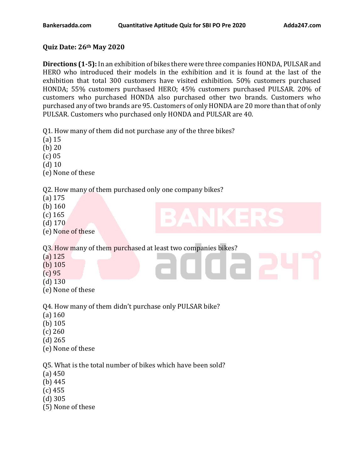## **Quiz Date: 26th May 2020**

**Directions (1-5):** In an exhibition of bikes there were three companies HONDA, PULSAR and HERO who introduced their models in the exhibition and it is found at the last of the exhibition that total 300 customers have visited exhibition. 50% customers purchased HONDA; 55% customers purchased HERO; 45% customers purchased PULSAR. 20% of customers who purchased HONDA also purchased other two brands. Customers who purchased any of two brands are 95. Customers of only HONDA are 20 more than that of only PULSAR. Customers who purchased only HONDA and PULSAR are 40.

Q1. How many of them did not purchase any of the three bikes?

- (a) 15
- (b) 20
- (c) 05
- (d) 10
- (e) None of these

Q2. How many of them purchased only one company bikes?

- (a) 175
- (b) 160
- (c) 165
- (d) 170
- (e) None of these

Q3. How many of them purchased at least two companies bikes?

- (a) 125
- (b) 105
- (c) 95
- (d) 130
- (e) None of these

Q4. How many of them didn't purchase only PULSAR bike?

- (a) 160
- (b) 105
- (c) 260
- (d) 265
- (e) None of these

Q5. What is the total number of bikes which have been sold?

- (a) 450
- (b) 445
- (c) 455
- (d) 305
- (5) None of these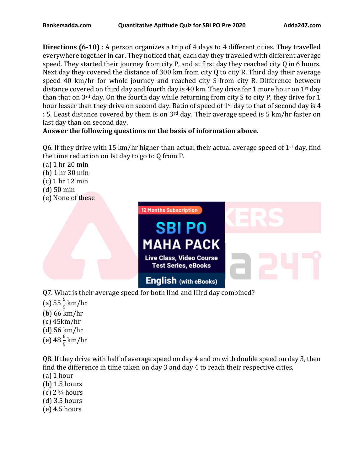**Directions (6-10)** : A person organizes a trip of 4 days to 4 different cities. They travelled everywhere together in car. They noticed that, each day they travelled with different average speed. They started their journey from city P, and at first day they reached city Q in 6 hours. Next day they covered the distance of 300 km from city Q to city R. Third day their average speed 40 km/hr for whole journey and reached city S from city R. Difference between distance covered on third day and fourth day is 40 km. They drive for 1 more hour on 1<sup>st</sup> day than that on  $3<sup>rd</sup>$  day. On the fourth day while returning from city S to city P, they drive for 1 hour lesser than they drive on second day. Ratio of speed of 1<sup>st</sup> day to that of second day is 4 : 5. Least distance covered by them is on 3rd day. Their average speed is 5 km/hr faster on last day than on second day.

## **Answer the following questions on the basis of information above.**

06. If they drive with 15 km/hr higher than actual their actual average speed of 1<sup>st</sup> day, find the time reduction on Ist day to go to Q from P.

(a) 1 hr 20 min (b) 1 hr 30 min (c) 1 hr 12 min (d) 50 min (e) None of these



- 
- (a)  $55\frac{5}{9}$  km/hr
- (b) 66 km/hr
- (c) 45km/hr
- (d) 56 km/hr
- (e)  $48\frac{8}{9}$  km/hr

Q8. If they drive with half of average speed on day 4 and on with double speed on day 3, then find the difference in time taken on day 3 and day 4 to reach their respective cities.

- (a) 1 hour
- (b) 1.5 hours
- (c)  $2\frac{2}{3}$  hours
- (d) 3.5 hours
- (e) 4.5 hours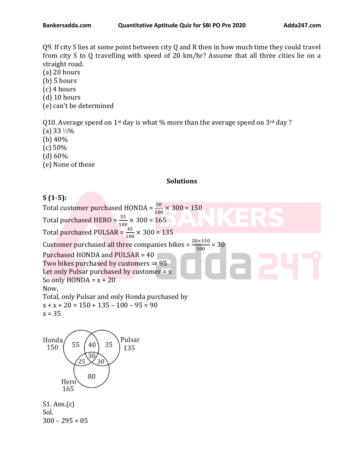Q9. If city S lies at some point between city Q and R then in how much time they could travel from city S to Q travelling with speed of 20 km/hr? Assume that all three cities lie on a straight road.

- (a) 20 hours
- (b) 5 hours
- (c) 4 hours
- (d) 10 hours
- (e) can't be determined

Q10. Average speed on 1<sup>st</sup> day is what % more than the average speed on  $3<sup>rd</sup>$  day ?

- (a) 33 ⅓%
- (b) 40%
- (c) 50%
- (d) 60%
- (e) None of these

#### **Solutions**

# **S (1-5):**

Total customer purchased HONDA =  $\frac{50}{100} \times 300 = 150$ Total purchased HERO =  $\frac{55}{100} \times 300$  =  $165$ Total purchased PULSAR =  $\frac{45}{100} \times 300$  = 135 Customer purchased all three companies bikes =  $\frac{20\times150}{100}$  = 30 100 Purchased HONDA and PULSAR = 40 Two bikes purchased by customers  $\Rightarrow$  95 Let only Pulsar purchased by customer  $= x$ So only  $HONDA = x + 20$ Now, Total, only Pulsar and only Honda purchased by  $x + x + 20 = 150 + 135 - 100 - 95 = 90$  $x = 35$ Honda Pulsar 35 55 40 150 135 30  $25$ 30

80 Hero 165

S1. Ans.(c) Sol.  $300 - 295 = 05$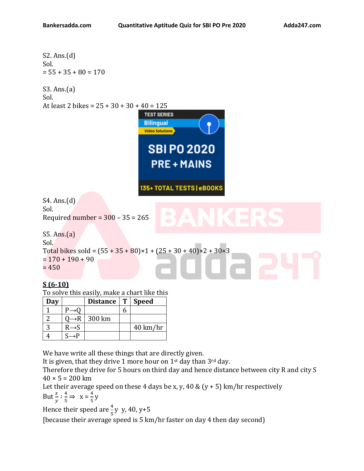S2. Ans.(d)

\nSol.

\n55 + 35 + 80 = 170

\nS3. Ans.(a)

\nSol.

\nAt least 2 bikes = 
$$
25 + 30 + 30 + 40 = 125
$$

\n**TEST SERIES**

\n**Bilipqual**

\n**W**

\n**SBI PO 2020**

\n**PRE + MANIS**

\nS3. Ans.(d)

\n50. Required number =  $300 - 35 = 265$ 

\nS5. Ans.(a)

\nSol.

\nTotal bikes sold =  $(55 + 35 + 80) \times 1 + (25 + 30 + 40) \times 2 + 30 \times 3$ 

\n= 170 + 190 + 90

\n= 450

## **S (6-10)**

To solve this easily, make a chart like this

| Day |                   | Distance | T   Speed          |
|-----|-------------------|----------|--------------------|
|     |                   |          |                    |
|     |                   | 300 km   |                    |
|     | $R \rightarrow S$ |          | $40 \text{ km/hr}$ |
|     |                   |          |                    |

We have write all these things that are directly given.

It is given, that they drive 1 more hour on 1st day than 3rd day.

Therefore they drive for 5 hours on third day and hence distance between city R and city S  $40 \times 5 = 200$  km

Let their average speed on these 4 days be x, y, 40 &  $(y + 5)$  km/hr respectively But  $\frac{x}{y}$  :  $\frac{4}{5}$  $\frac{4}{5}$   $\Rightarrow$   $X = \frac{4}{5}$  $\frac{4}{5}y$ 

Hence their speed are  $\frac{4}{5}$ y y, 40, y+5

[because their average speed is 5 km/hr faster on day 4 then day second)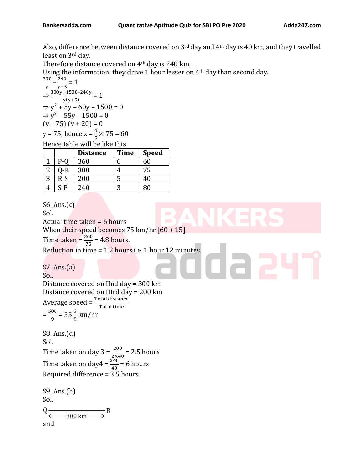Also, difference between distance covered on 3rd day and 4th day is 40 km, and they travelled least on 3rd day.

Therefore distance covered on 4th day is 240 km.

Using the information, they drive 1 hour lesser on 4th day than second day.

 $\frac{300}{15} - \frac{240}{15} = 1$ y y+5  $\Rightarrow \frac{300y+1500-240y}{x(x+5)}$  $\frac{+1300-240y}{y(y+5)} = 1$  $\Rightarrow$  y<sup>2</sup> + 5y – 60y – 1500 = 0  $\Rightarrow$  y<sup>2</sup> – 55y – 1500 = 0  $(y - 75) (y + 20) = 0$ y = 75, hence  $x = \frac{4}{5} \times 75 = 60$ 

Hence table will be like this

|   |       | <b>Distance</b> | <b>Time</b> | <b>Speed</b> |
|---|-------|-----------------|-------------|--------------|
|   | $P-O$ | 360             | h           | 60           |
|   | )-R   | 300             |             | 75           |
| 3 | $R-S$ | 200             | 5           | 40           |
|   | S-P   | 240             | р           | 80           |

S6. Ans.(c) Sol. Actual time taken = 6 hours When their speed becomes 75 km/hr [60 + 15] Time taken =  $\frac{360}{75}$  = 4.8 hours. Reduction in time = 1.2 hours i.e. 1 hour 12 minutes S7. Ans.(a) Sol. Distance covered on IInd day = 300 km Distance covered on IIIrd day = 200 km Average speed =  $\frac{\text{Total distance}}{\text{Total time}}$  $=\frac{500}{0}$  $\frac{00}{9}$  = 55 $\frac{5}{9}$  km/hr S8. Ans.(d) Sol. Time taken on day  $3 = \frac{200}{2 \times 40} = 2.5$  hours Time taken on day $4 = \frac{240}{40} = 6$  hours Required difference = 3.5 hours. S9. Ans.(b) Sol.  $Q \xrightarrow{\longleftarrow} R$ and